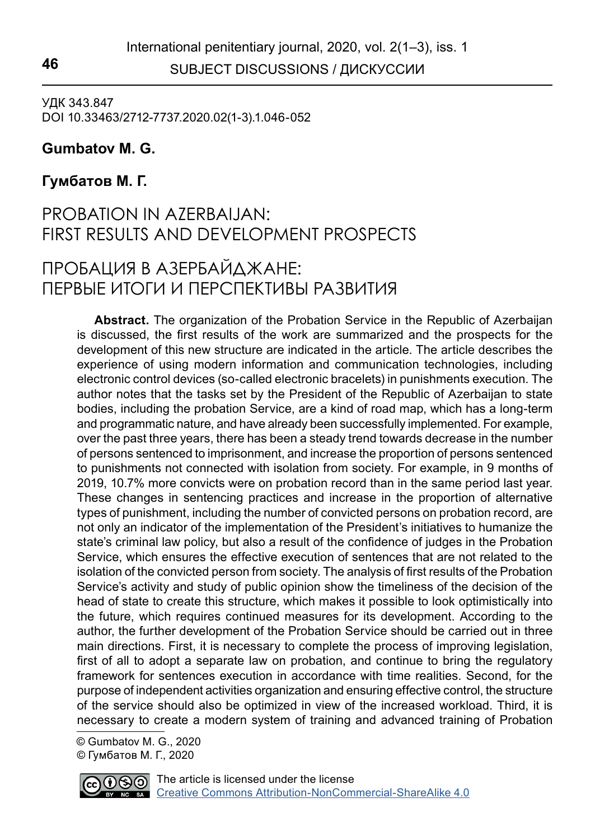SUBJECT DISCUSSIONS / ДИСКУССИИ **46**

УДК 343.847 DOI 10.33463/2712-7737.2020.02(1-3).1.046-052

## **Gumbatov M. G.1**

## **Гумбатов М. Г.**

## PROBATION IN AZERBAIJAN: FIRST RESULTS AND DEVELOPMENT PROSPECTS

# ПРОБАЦИЯ В АЗЕРБАЙДЖАНЕ: ПЕРВЫЕ ИТОГИ И ПЕРСПЕКТИВЫ РАЗВИТИЯ

**Abstract.** The organization of the Probation Service in the Republic of Azerbaijan is discussed, the first results of the work are summarized and the prospects for the development of this new structure are indicated in the article. The article describes the experience of using modern information and communication technologies, including electronic control devices (so-called electronic bracelets) in punishments execution. The author notes that the tasks set by the President of the Republic of Azerbaijan to state bodies, including the probation Service, are a kind of road map, which has a long-term and programmatic nature, and have already been successfully implemented. For example, over the past three years, there has been a steady trend towards decrease in the number of persons sentenced to imprisonment, and increase the proportion of persons sentenced to punishments not connected with isolation from society. For example, in 9 months of 2019, 10.7% more convicts were on probation record than in the same period last year. These changes in sentencing practices and increase in the proportion of alternative types of punishment, including the number of convicted persons on probation record, are not only an indicator of the implementation of the President's initiatives to humanize the state's criminal law policy, but also a result of the confidence of judges in the Probation Service, which ensures the effective execution of sentences that are not related to the isolation of the convicted person from society. The analysis of first results of the Probation Service's activity and study of public opinion show the timeliness of the decision of the head of state to create this structure, which makes it possible to look optimistically into the future, which requires continued measures for its development. According to the author, the further development of the Probation Service should be carried out in three main directions. First, it is necessary to complete the process of improving legislation, first of all to adopt a separate law on probation, and continue to bring the regulatory framework for sentences execution in accordance with time realities. Second, for the purpose of independent activities organization and ensuring effective control, the structure of the service should also be optimized in view of the increased workload. Third, it is necessary to create a modern system of training and advanced training of Probation

 © Gumbatov M. G., 2020 © Гумбатов М. Г., 2020

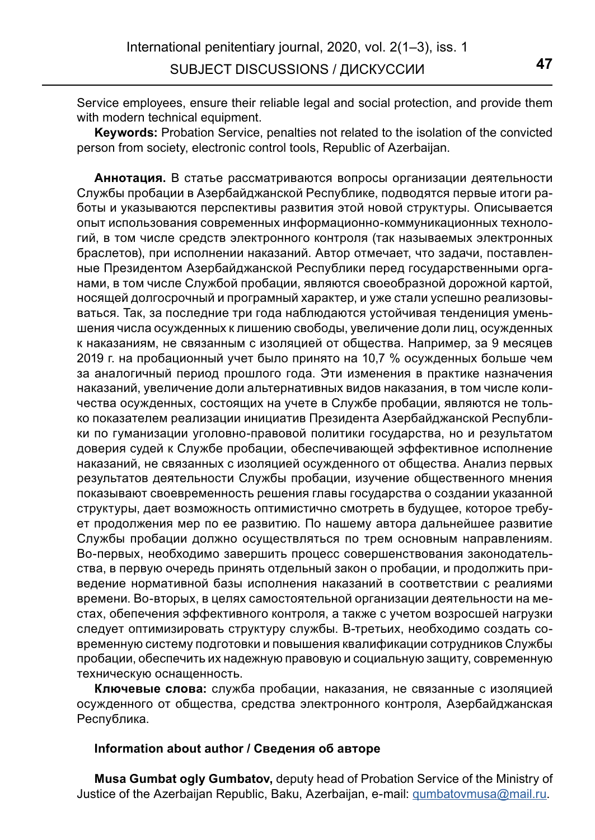Service employees, ensure their reliable legal and social protection, and provide them with modern technical equipment.

**Keywords:** Probation Service, penalties not related to the isolation of the convicted person from society, electronic control tools, Republic of Azerbaijan.

**Аннотация.** В статье рассматриваются вопросы организации деятельности Службы пробации в Азербайджанской Республике, подводятся первые итоги работы и указываются перспективы развития этой новой структуры. Описывается опыт использования современных информационно-коммуникационных технологий, в том числе средств электронного контроля (так называемых электронных браслетов), при исполнении наказаний. Автор отмечает, что задачи, поставленные Президентом Азербайджанской Республики перед государственными органами, в том числе Службой пробации, являются своеобразной дорожной картой, носящей долгосрочный и програмный характер, и уже стали успешно реализовываться. Так, за последние три года наблюдаются устойчивая тендениция уменьшения числа осужденных к лишению свободы, увеличение доли лиц, осужденных к наказаниям, не связанным с изоляцией от общества. Например, за 9 месяцев 2019 г. на пробационный учет было принято на 10,7 % осужденных больше чем за аналогичный период прошлого года. Эти изменения в практике назначения наказаний, увеличение доли альтернативных видов наказания, в том числе количества осужденных, состоящих на учете в Службе пробации, являются не только показателем реализации инициатив Президента Азербайджанской Республики по гуманизации уголовно-правовой политики государства, но и результатом доверия судей к Службе пробации, обеспечивающей эффективное исполнение наказаний, не связанных с изоляцией осужденного от общества. Анализ первых результатов деятельности Службы пробации, изучение общественного мнения показывают своевременность решения главы государства о создании указанной структуры, дает возможность оптимистично смотреть в будущее, которое требует продолжения мер по ее развитию. По нашему автора дальнейшее развитие Службы пробации должно осуществляться по трем основным направлениям. Во-первых, необходимо завершить процесс совершенствования законодательства, в первую очередь принять отдельный закон о пробации, и продолжить приведение нормативной базы исполнения наказаний в соответствии с реалиями времени. Во-вторых, в целях самостоятельной организации деятельности на местах, обепечения эффективного контроля, а также с учетом возросшей нагрузки следует оптимизировать структуру службы. В-третьих, необходимо создать современную систему подготовки и повышения квалификации сотрудников Службы пробации, обеспечить их надежную правовую и социальную защиту, современную техническую оснащенность.

**Ключевые слова:** служба пробации, наказания, не связанные с изоляцией осужденного от общества, средства электронного контроля, Азербайджанская Республика.

#### **Information about author / Сведения об авторе**

**Musa Gumbat ogly Gumbatov,** deputy head of Probation Service of the Ministry of Justice of the Azerbaijan Republic, Baku, Azerbaijan, e-mail: qumbatovmusa@mail.ru.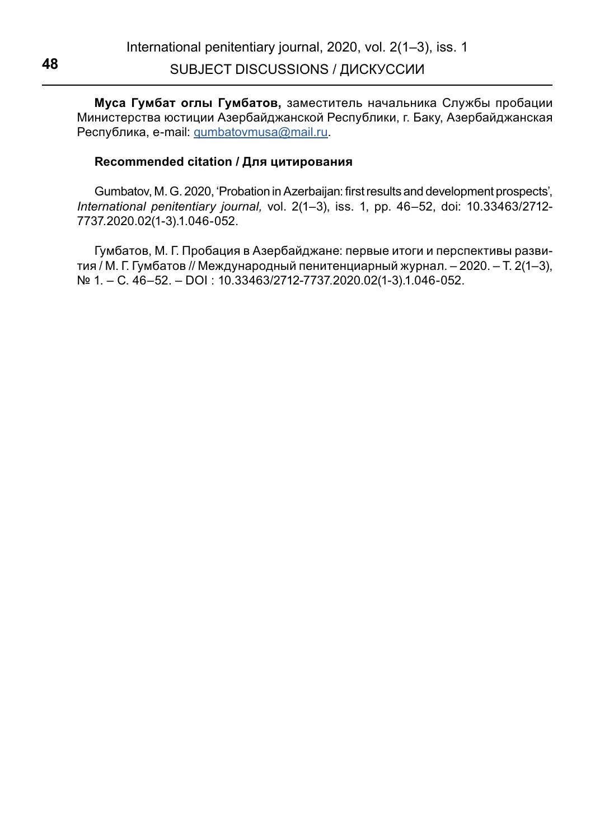**Муса Гумбат оглы Гумбатов,** заместитель начальника Службы пробации Министерства юстиции Азербайджанской Республики, г. Баку, Азербайджанская Республика, e-mail: qumbatovmusa@mail.ru.

### **Recommended citation / Для цитирования**

Gumbatov, M. G. 2020, 'Probation in Azerbaijan: first results and development prospects', *International penitentiary journal,* vol. 2(1–3), iss. 1, pp. 46–52, doi: 10.33463/2712- 7737.2020.02(1-3).1.046-052.

Гумбатов, М. Г. Пробация в Азербайджане: первые итоги и перспективы развития / М. Г. Гумбатов // Международный пенитенциарный журнал. – 2020. – Т. 2(1–3), № 1. – С. 46–52. – DOI : 10.33463/2712-7737.2020.02(1-3).1.046-052.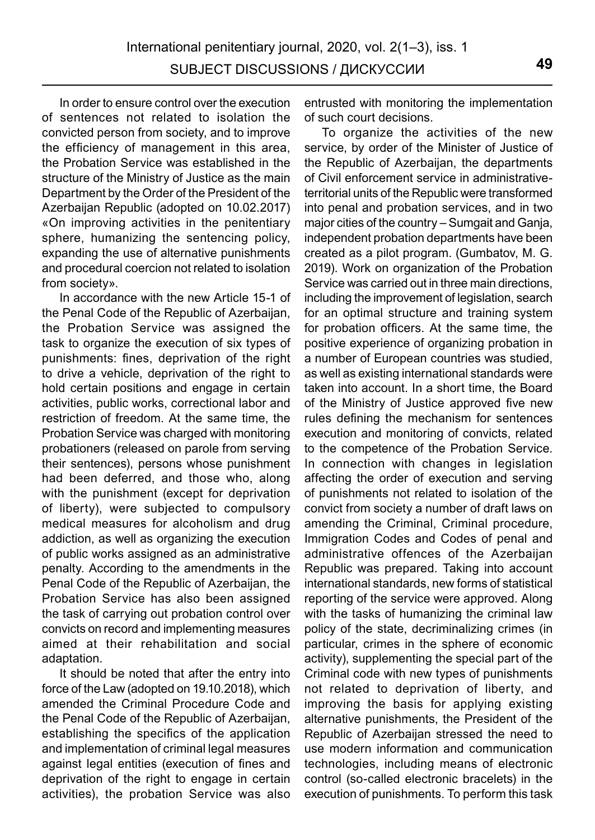In order to ensure control over the execution of sentences not related to isolation the convicted person from society, and to improve the efficiency of management in this area, the Probation Service was established in the structure of the Ministry of Justice as the main Department by the Order of the President of the Azerbaijan Republic (adopted on 10.02.2017) «On improving activities in the penitentiary sphere, humanizing the sentencing policy, expanding the use of alternative punishments and procedural coercion not related to isolation from society».

In accordance with the new Article 15-1 of the Penal Code of the Republic of Azerbaijan, the Probation Service was assigned the task to organize the execution of six types of punishments: fines, deprivation of the right to drive a vehicle, deprivation of the right to hold certain positions and engage in certain activities, public works, correctional labor and restriction of freedom. At the same time, the Probation Service was charged with monitoring probationers (released on parole from serving their sentences), persons whose punishment had been deferred, and those who, along with the punishment (except for deprivation of liberty), were subjected to compulsory medical measures for alcoholism and drug addiction, as well as organizing the execution of public works assigned as an administrative penalty. According to the amendments in the Penal Code of the Republic of Azerbaijan, the Probation Service has also been assigned the task of carrying out probation control over convicts on record and implementing measures aimed at their rehabilitation and social adaptation.

It should be noted that after the entry into force of the Law (adopted on 19.10.2018), which amended the Criminal Procedure Code and the Penal Code of the Republic of Azerbaijan, establishing the specifics of the application and implementation of criminal legal measures against legal entities (execution of fines and deprivation of the right to engage in certain activities), the probation Service was also entrusted with monitoring the implementation of such court decisions.

To organize the activities of the new service, by order of the Minister of Justice of the Republic of Azerbaijan, the departments of Civil enforcement service in administrativeterritorial units of the Republic were transformed into penal and probation services, and in two major cities of the country – Sumgait and Ganja, independent probation departments have been created as a pilot program. (Gumbatov, M. G. 2019). Work on organization of the Probation Service was carried out in three main directions, including the improvement of legislation, search for an optimal structure and training system for probation officers. At the same time, the positive experience of organizing probation in a number of European countries was studied, as well as existing international standards were taken into account. In a short time, the Board of the Ministry of Justice approved five new rules defining the mechanism for sentences execution and monitoring of convicts, related to the competence of the Probation Service. In connection with changes in legislation affecting the order of execution and serving of punishments not related to isolation of the convict from society a number of draft laws on amending the Criminal, Criminal procedure, Immigration Codes and Codes of penal and administrative offences of the Azerbaijan Republic was prepared. Taking into account international standards, new forms of statistical reporting of the service were approved. Along with the tasks of humanizing the criminal law policy of the state, decriminalizing crimes (in particular, crimes in the sphere of economic activity), supplementing the special part of the Criminal code with new types of punishments not related to deprivation of liberty, and improving the basis for applying existing alternative punishments, the President of the Republic of Azerbaijan stressed the need to use modern information and communication technologies, including means of electronic control (so-called electronic bracelets) in the execution of punishments. To perform this task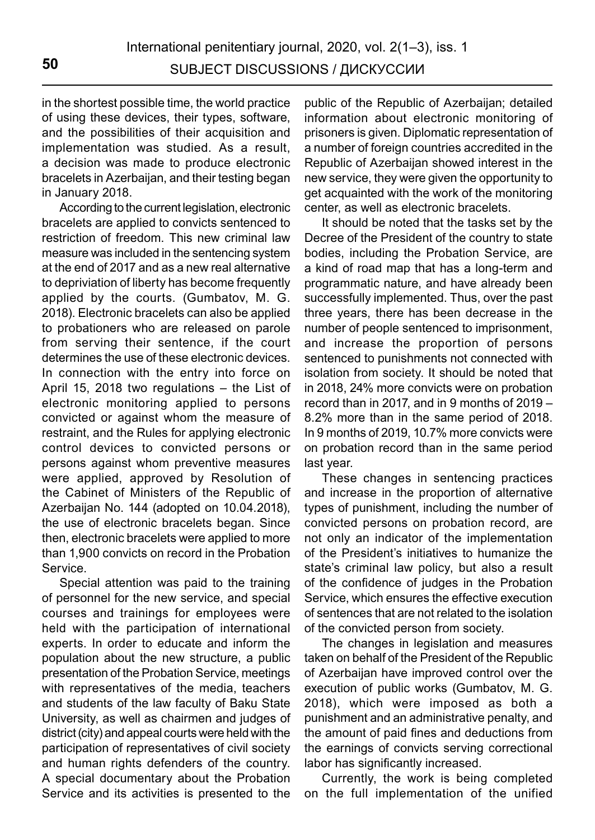in the shortest possible time, the world practice of using these devices, their types, software, and the possibilities of their acquisition and implementation was studied. As a result, a decision was made to produce electronic bracelets in Azerbaijan, and their testing began in January 2018.

According to the current legislation, electronic bracelets are applied to convicts sentenced to restriction of freedom. This new criminal law measure was included in the sentencing system at the end of 2017 and as a new real alternative to depriviation of liberty has become frequently applied by the courts. (Gumbatov, M. G. 2018). Electronic bracelets can also be applied to probationers who are released on parole from serving their sentence, if the court determines the use of these electronic devices. In connection with the entry into force on April 15, 2018 two regulations – the List of electronic monitoring applied to persons convicted or against whom the measure of restraint, and the Rules for applying electronic control devices to convicted persons or persons against whom preventive measures were applied, approved by Resolution of the Cabinet of Ministers of the Republic of Azerbaijan No. 144 (adopted on 10.04.2018), the use of electronic bracelets began. Since then, electronic bracelets were applied to more than 1,900 convicts on record in the Probation Service.

Special attention was paid to the training of personnel for the new service, and special courses and trainings for employees were held with the participation of international experts. In order to educate and inform the population about the new structure, a public presentation of the Probation Service, meetings with representatives of the media, teachers and students of the law faculty of Baku State University, as well as chairmen and judges of district (city) and appeal courts were held with the participation of representatives of civil society and human rights defenders of the country. A special documentary about the Probation Service and its activities is presented to the public of the Republic of Azerbaijan; detailed information about electronic monitoring of prisoners is given. Diplomatic representation of a number of foreign countries accredited in the Republic of Azerbaijan showed interest in the new service, they were given the opportunity to get acquainted with the work of the monitoring center, as well as electronic bracelets.

It should be noted that the tasks set by the Decree of the President of the country to state bodies, including the Probation Service, are a kind of road map that has a long-term and programmatic nature, and have already been successfully implemented. Thus, over the past three years, there has been decrease in the number of people sentenced to imprisonment, and increase the proportion of persons sentenced to punishments not connected with isolation from society. It should be noted that in 2018, 24% more convicts were on probation record than in 2017, and in 9 months of 2019 – 8.2% more than in the same period of 2018. In 9 months of 2019, 10.7% more convicts were on probation record than in the same period last year.

These changes in sentencing practices and increase in the proportion of alternative types of punishment, including the number of convicted persons on probation record, are not only an indicator of the implementation of the President's initiatives to humanize the state's criminal law policy, but also a result of the confidence of judges in the Probation Service, which ensures the effective execution of sentences that are not related to the isolation of the convicted person from society.

The changes in legislation and measures taken on behalf of the President of the Republic of Azerbaijan have improved control over the execution of public works (Gumbatov, M. G. 2018), which were imposed as both a punishment and an administrative penalty, and the amount of paid fines and deductions from the earnings of convicts serving correctional labor has significantly increased.

Currently, the work is being completed on the full implementation of the unified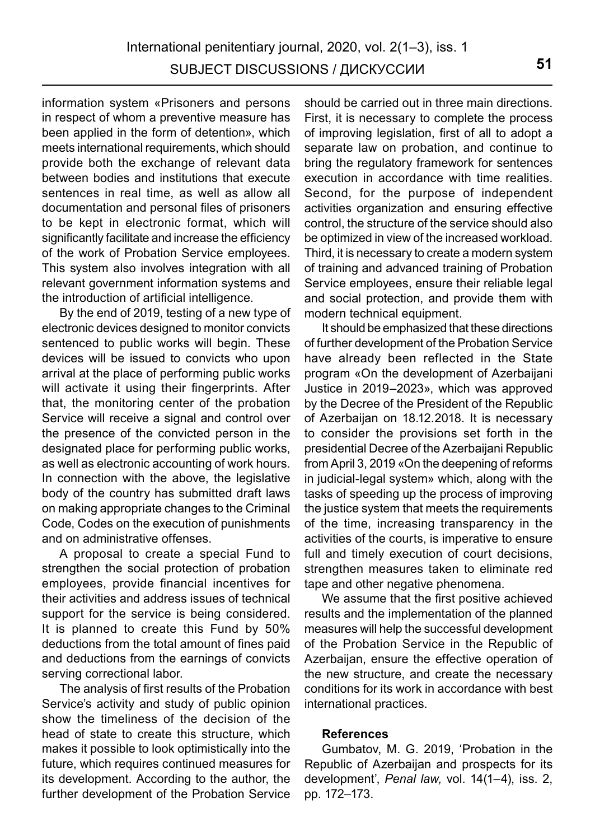information system «Prisoners and persons in respect of whom a preventive measure has been applied in the form of detention», which meets international requirements, which should provide both the exchange of relevant data between bodies and institutions that execute sentences in real time, as well as allow all documentation and personal files of prisoners to be kept in electronic format, which will significantly facilitate and increase the efficiency of the work of Probation Service employees. This system also involves integration with all relevant government information systems and the introduction of artificial intelligence.

By the end of 2019, testing of a new type of electronic devices designed to monitor convicts sentenced to public works will begin. These devices will be issued to convicts who upon arrival at the place of performing public works will activate it using their fingerprints. After that, the monitoring center of the probation Service will receive a signal and control over the presence of the convicted person in the designated place for performing public works, as well as electronic accounting of work hours. In connection with the above, the legislative body of the country has submitted draft laws on making appropriate changes to the Criminal Code, Сodes on the execution of punishments and on administrative offenses.

A proposal to create a special Fund to strengthen the social protection of probation employees, provide financial incentives for their activities and address issues of technical support for the service is being considered. It is planned to create this Fund by 50% deductions from the total amount of fines paid and deductions from the earnings of convicts serving correctional labor.

The analysis of first results of the Probation Service's activity and study of public opinion show the timeliness of the decision of the head of state to create this structure, which makes it possible to look optimistically into the future, which requires continued measures for its development. According to the author, the further development of the Probation Service should be carried out in three main directions. First, it is necessary to complete the process of improving legislation, first of all to adopt a separate law on probation, and continue to bring the regulatory framework for sentences execution in accordance with time realities. Second, for the purpose of independent activities organization and ensuring effective control, the structure of the service should also be optimized in view of the increased workload. Third, it is necessary to create a modern system of training and advanced training of Probation Service employees, ensure their reliable legal and social protection, and provide them with modern technical equipment.

It should be emphasized that these directions of further development of the Probation Service have already been reflected in the State program «On the development of Azerbaijani Justice in 2019–2023», which was approved by the Decree of the President of the Republic of Azerbaijan on 18.12.2018. It is necessary to consider the provisions set forth in the presidential Decree of the Azerbaijani Republic from April 3, 2019 «On the deepening of reforms in judicial-legal system» which, along with the tasks of speeding up the process of improving the justice system that meets the requirements of the time, increasing transparency in the activities of the courts, is imperative to ensure full and timely execution of court decisions. strengthen measures taken to eliminate red tape and other negative phenomena.

We assume that the first positive achieved results and the implementation of the planned measures will help the successful development of the Probation Service in the Republic of Azerbaijan, ensure the effective operation of the new structure, and create the necessary conditions for its work in accordance with best international practices.

#### **References**

Gumbatov, M. G. 2019, 'Probation in the Republic of Azerbaijan and prospects for its development', *Penal law,* vol. 14(1–4), iss. 2, pp. 172–173.